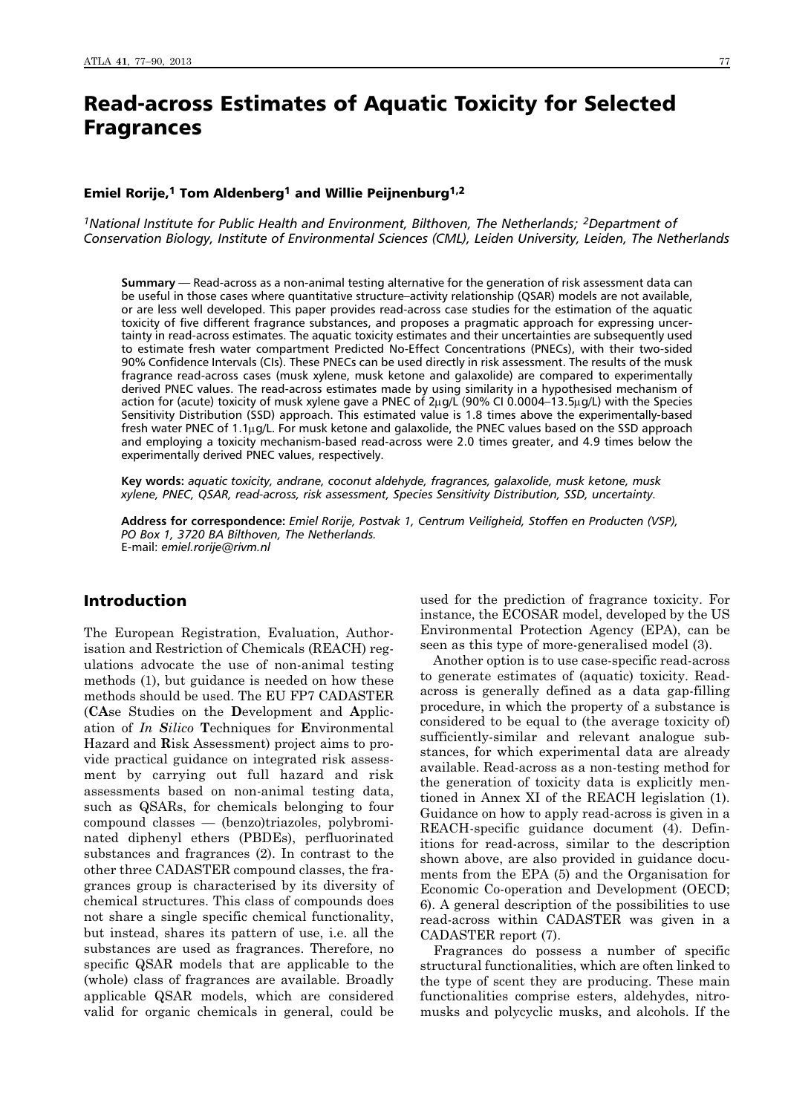# Read-across Estimates of Aquatic Toxicity for Selected Fragrances

#### Emiel Rorije,<sup>1</sup> Tom Aldenberg<sup>1</sup> and Willie Peijnenburg<sup>1,2</sup>

*1National Institute for Public Health and Environment, Bilthoven, The Netherlands; 2Department of Conservation Biology, Institute of Environmental Sciences (CML), Leiden University, Leiden, The Netherlands*

**Summary** — Read-across as a non-animal testing alternative for the generation of risk assessment data can be useful in those cases where quantitative structure–activity relationship (QSAR) models are not available, or are less well developed. This paper provides read-across case studies for the estimation of the aquatic toxicity of five different fragrance substances, and proposes a pragmatic approach for expressing uncertainty in read-across estimates. The aquatic toxicity estimates and their uncertainties are subsequently used to estimate fresh water compartment Predicted No-Effect Concentrations (PNECs), with their two-sided 90% Confidence Intervals (CIs). These PNECs can be used directly in risk assessment. The results of the musk fragrance read-across cases (musk xylene, musk ketone and galaxolide) are compared to experimentally derived PNEC values. The read-across estimates made by using similarity in a hypothesised mechanism of action for (acute) toxicity of musk xylene gave a PNEC of  $2\mu g/L$  (90% CI 0.0004–13.5 $\mu g/L$ ) with the Species Sensitivity Distribution (SSD) approach. This estimated value is 1.8 times above the experimentally-based fresh water PNEC of 1.1μg/L. For musk ketone and galaxolide, the PNEC values based on the SSD approach and employing a toxicity mechanism-based read-across were 2.0 times greater, and 4.9 times below the experimentally derived PNEC values, respectively.

**Key words:** *aquatic toxicity, andrane, coconut aldehyde, fragrances, galaxolide, musk ketone, musk xylene, PNEC, QSAR, read-across, risk assessment, Species Sensitivity Distribution, SSD, uncertainty.*

**Address for correspondence:** *Emiel Rorije, Postvak 1, Centrum Veiligheid, Stoffen en Producten (VSP), PO Box 1, 3720 BA Bilthoven, The Netherlands.* E-mail: *emiel.rorije@rivm.nl*

# Introduction

The European Registration, Evaluation, Authorisation and Restriction of Chemicals (REACH) regulations advocate the use of non-animal testing methods (1), but guidance is needed on how these methods should be used. The EU FP7 CADASTER (**CA**se Studies on the **D**evelopment and **A**pplic ation of *In Silico* **T**echniques for **E**nvironmental Hazard and **R**isk Assessment) project aims to provide practical guidance on integrated risk assessment by carrying out full hazard and risk assessments based on non-animal testing data, such as QSARs, for chemicals belonging to four compound classes — (benzo)triazoles, polybrominated diphenyl ethers (PBDEs), perfluorinated substances and fragrances (2). In contrast to the other three CADASTER compound classes, the fragrances group is characterised by its diversity of chemical structures. This class of compounds does not share a single specific chemical functionality, but instead, shares its pattern of use, i.e. all the substances are used as fragrances. Therefore, no specific QSAR models that are applicable to the (whole) class of fragrances are available. Broadly applicable QSAR models, which are considered valid for organic chemicals in general, could be

used for the prediction of fragrance toxicity. For instance, the ECOSAR model, developed by the US Environmental Protection Agency (EPA), can be seen as this type of more-generalised model (3).

Another option is to use case-specific read-across to generate estimates of (aquatic) toxicity. Readacross is generally defined as a data gap-filling procedure, in which the property of a substance is considered to be equal to (the average toxicity of) sufficiently-similar and relevant analogue substances, for which experimental data are already available. Read-across as a non-testing method for the generation of toxicity data is explicitly mentioned in Annex XI of the REACH legislation (1). Guidance on how to apply read-across is given in a REACH-specific guidance document (4). Definitions for read-across, similar to the description shown above, are also provided in guidance documents from the EPA (5) and the Organisation for Economic Co-operation and Development (OECD; 6). A general description of the possibilities to use read-across within CADASTER was given in a CADASTER report (7).

Fragrances do possess a number of specific structural functionalities, which are often linked to the type of scent they are producing. These main functionalities comprise esters, aldehydes, nitromusks and polycyclic musks, and alcohols. If the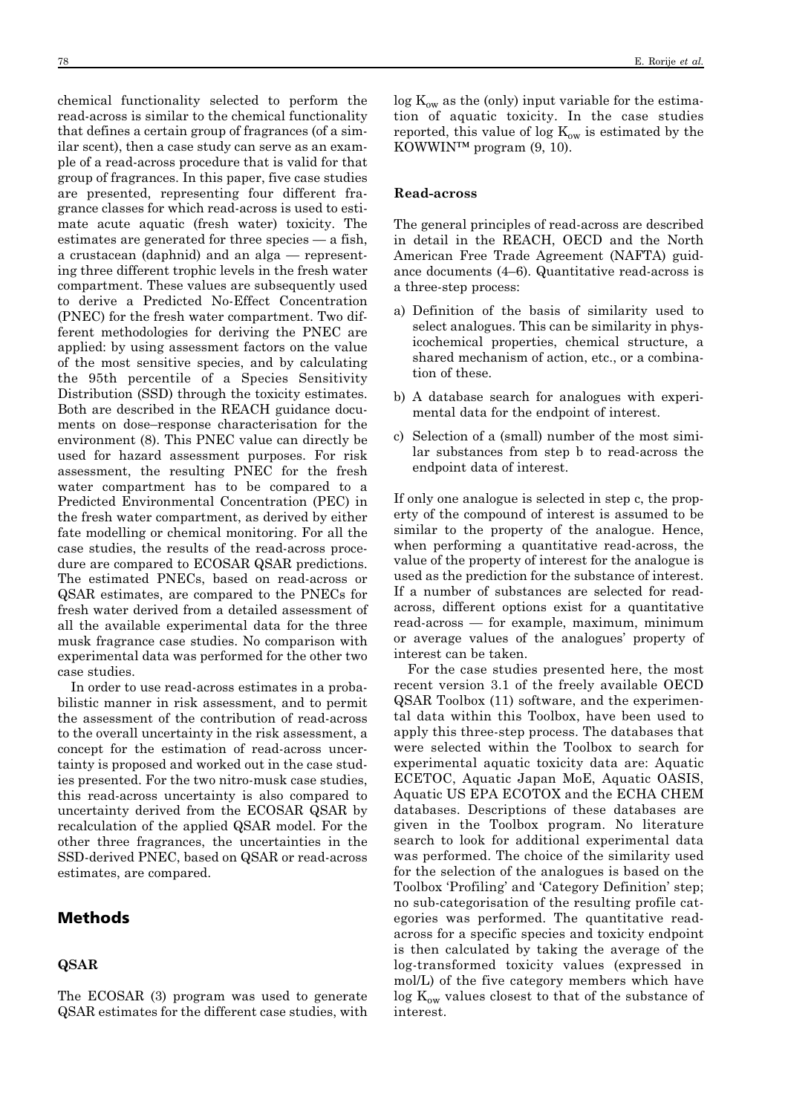chemical functionality selected to perform the read-across is similar to the chemical functionality that defines a certain group of fragrances (of a similar scent), then a case study can serve as an example of a read-across procedure that is valid for that group of fragrances. In this paper, five case studies are presented, representing four different fragrance classes for which read-across is used to estimate acute aquatic (fresh water) toxicity. The estimates are generated for three species — a fish, a crustacean (daphnid) and an alga — representing three different trophic levels in the fresh water compartment. These values are subsequently used to derive a Predicted No-Effect Concentration (PNEC) for the fresh water compartment. Two different methodologies for deriving the PNEC are applied: by using assessment factors on the value of the most sensitive species, and by calculating the 95th percentile of a Species Sensitivity Distribution (SSD) through the toxicity estimates. Both are described in the REACH guidance documents on dose–response characterisation for the environment (8). This PNEC value can directly be used for hazard assessment purposes. For risk assessment, the resulting PNEC for the fresh water compartment has to be compared to a Predicted Environmental Concentration (PEC) in the fresh water compartment, as derived by either fate modelling or chemical monitoring. For all the case studies, the results of the read-across procedure are compared to ECOSAR QSAR predictions. The estimated PNECs, based on read-across or QSAR estimates, are compared to the PNECs for fresh water derived from a detailed assessment of all the available experimental data for the three musk fragrance case studies. No comparison with experimental data was performed for the other two case studies.

In order to use read-across estimates in a probabilistic manner in risk assessment, and to permit the assessment of the contribution of read-across to the overall uncertainty in the risk assessment, a concept for the estimation of read-across uncertainty is proposed and worked out in the case studies presented. For the two nitro-musk case studies, this read-across uncertainty is also compared to uncertainty derived from the ECOSAR QSAR by recalculation of the applied QSAR model. For the other three fragrances, the uncertainties in the SSD-derived PNEC, based on QSAR or read-across estimates, are compared.

# Methods

### **QSAR**

 $\log K_{ow}$  as the (only) input variable for the estimation of aquatic toxicity. In the case studies reported, this value of log  $K_{ow}$  is estimated by the KOWWIN™ program (9, 10).

### **Read-across**

The general principles of read-across are described in detail in the REACH, OECD and the North American Free Trade Agreement (NAFTA) guidance documents (4–6). Quantitative read-across is a three-step process:

- a) Definition of the basis of similarity used to select analogues. This can be similarity in physicochemical properties, chemical structure, a shared mechanism of action, etc., or a combination of these.
- b) A database search for analogues with experimental data for the endpoint of interest.
- c) Selection of a (small) number of the most similar substances from step b to read-across the endpoint data of interest.

If only one analogue is selected in step c, the property of the compound of interest is assumed to be similar to the property of the analogue. Hence, when performing a quantitative read-across, the value of the property of interest for the analogue is used as the prediction for the substance of interest. If a number of substances are selected for readacross, different options exist for a quantitative read-across — for example, maximum, minimum or average values of the analogues' property of interest can be taken.

For the case studies presented here, the most recent version 3.1 of the freely available OECD QSAR Toolbox (11) software, and the experimental data within this Toolbox, have been used to apply this three-step process. The databases that were selected within the Toolbox to search for experimental aquatic toxicity data are: Aquatic ECETOC, Aquatic Japan MoE, Aquatic OASIS, Aquatic US EPA ECOTOX and the ECHA CHEM databases. Descriptions of these databases are given in the Toolbox program. No literature search to look for additional experimental data was performed. The choice of the similarity used for the selection of the analogues is based on the Toolbox 'Profiling' and 'Category Definition' step; no sub-categorisation of the resulting profile categories was performed. The quantitative readacross for a specific species and toxicity endpoint is then calculated by taking the average of the log-transformed toxicity values (expressed in mol/L) of the five category members which have  $\log K_{\text{ow}}$  values closest to that of the substance of interest.

The ECOSAR (3) program was used to generate QSAR estimates for the different case studies, with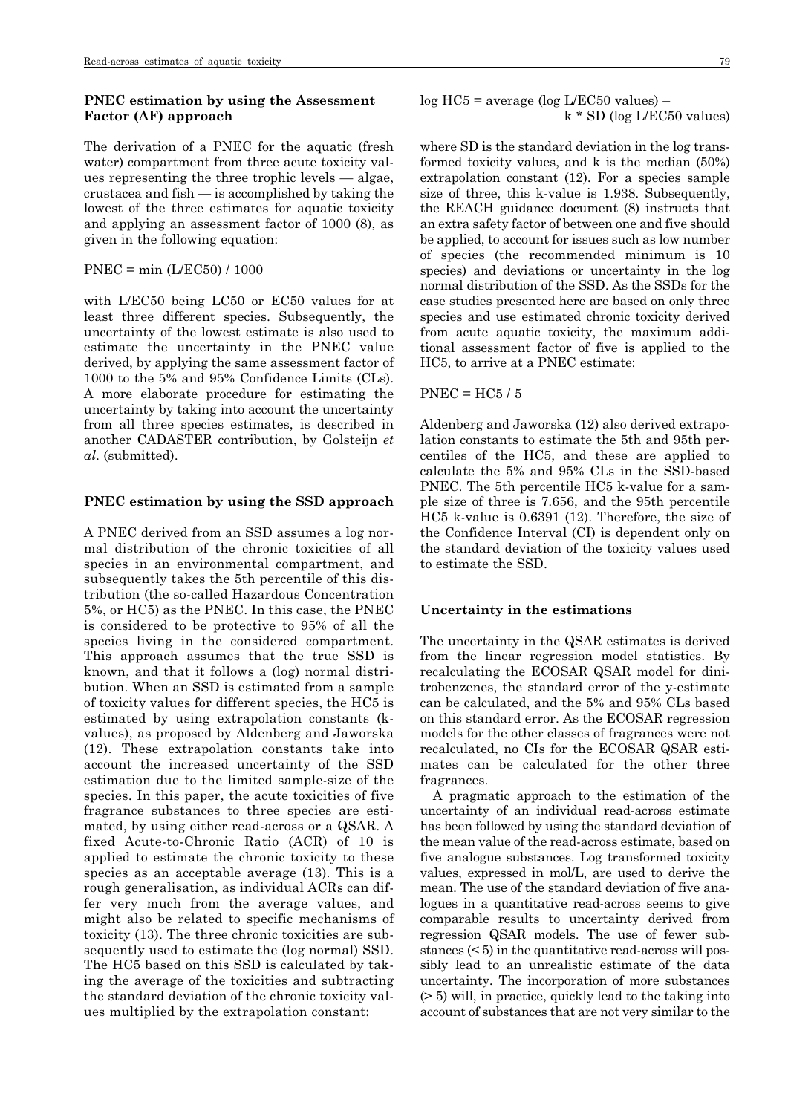### **PNEC estimation by using the Assessment Factor (AF) approach**

The derivation of a PNEC for the aquatic (fresh water) compartment from three acute toxicity values representing the three trophic levels — algae, crustacea and fish — is accomplished by taking the lowest of the three estimates for aquatic toxicity and applying an assessment factor of 1000 (8), as given in the following equation:

### PNEC = min (L/EC50) / 1000

with L/EC50 being LC50 or EC50 values for at least three different species. Subsequently, the uncertainty of the lowest estimate is also used to estimate the uncertainty in the PNEC value derived, by applying the same assessment factor of 1000 to the 5% and 95% Confidence Limits (CLs). A more elaborate procedure for estimating the uncertainty by taking into account the uncertainty from all three species estimates, is described in another CADASTER contribution, by Golsteijn *et al*. (submitted).

#### **PNEC estimation by using the SSD approach**

A PNEC derived from an SSD assumes a log normal distribution of the chronic toxicities of all species in an environmental compartment, and subsequently takes the 5th percentile of this distribution (the so-called Hazardous Concentration 5%, or HC5) as the PNEC. In this case, the PNEC is considered to be protective to 95% of all the species living in the considered compartment. This approach assumes that the true SSD is known, and that it follows a (log) normal distribution. When an SSD is estimated from a sample of toxicity values for different species, the HC5 is estimated by using extrapolation constants (kvalues), as proposed by Aldenberg and Jaworska (12). These extrapolation constants take into account the increased uncertainty of the SSD estimation due to the limited sample-size of the species. In this paper, the acute toxicities of five fragrance substances to three species are estimated, by using either read-across or a QSAR. A fixed Acute-to-Chronic Ratio (ACR) of 10 is applied to estimate the chronic toxicity to these species as an acceptable average (13). This is a rough generalisation, as individual ACRs can differ very much from the average values, and might also be related to specific mechanisms of toxicity (13). The three chronic toxicities are subsequently used to estimate the (log normal) SSD. The HC5 based on this SSD is calculated by taking the average of the toxicities and subtracting the standard deviation of the chronic toxicity values multiplied by the extrapolation constant:

log HC5 = average (log L/EC50 values) – k \* SD (log L/EC50 values)

where SD is the standard deviation in the log transformed toxicity values, and k is the median (50%) extrapolation constant (12). For a species sample size of three, this k-value is 1.938. Subsequently, the REACH guidance document (8) instructs that an extra safety factor of between one and five should be applied, to account for issues such as low number of species (the recommended minimum is 10 species) and deviations or uncertainty in the log normal distribution of the SSD. As the SSDs for the case studies presented here are based on only three species and use estimated chronic toxicity derived from acute aquatic toxicity, the maximum additional assessment factor of five is applied to the HC5, to arrive at a PNEC estimate:

#### $PNEC = HC5/5$

Aldenberg and Jaworska (12) also derived extrapolation constants to estimate the 5th and 95th percentiles of the HC5, and these are applied to calculate the 5% and 95% CLs in the SSD-based PNEC. The 5th percentile HC5 k-value for a sample size of three is 7.656, and the 95th percentile HC5 k-value is 0.6391 (12). Therefore, the size of the Confidence Interval (CI) is dependent only on the standard deviation of the toxicity values used to estimate the SSD.

### **Uncertainty in the estimations**

The uncertainty in the QSAR estimates is derived from the linear regression model statistics. By recalculating the ECOSAR QSAR model for dinitrobenzenes, the standard error of the y-estimate can be calculated, and the 5% and 95% CLs based on this standard error. As the ECOSAR regression models for the other classes of fragrances were not recalculated, no CIs for the ECOSAR QSAR estimates can be calculated for the other three fragrances.

A pragmatic approach to the estimation of the uncertainty of an individual read-across estimate has been followed by using the standard deviation of the mean value of the read-across estimate, based on five analogue substances. Log transformed toxicity values, expressed in mol/L, are used to derive the mean. The use of the standard deviation of five analogues in a quantitative read-across seems to give comparable results to uncertainty derived from regression QSAR models. The use of fewer substances (< 5) in the quantitative read-across will possibly lead to an unrealistic estimate of the data uncertainty. The incorporation of more substances (> 5) will, in practice, quickly lead to the taking into account of substances that are not very similar to the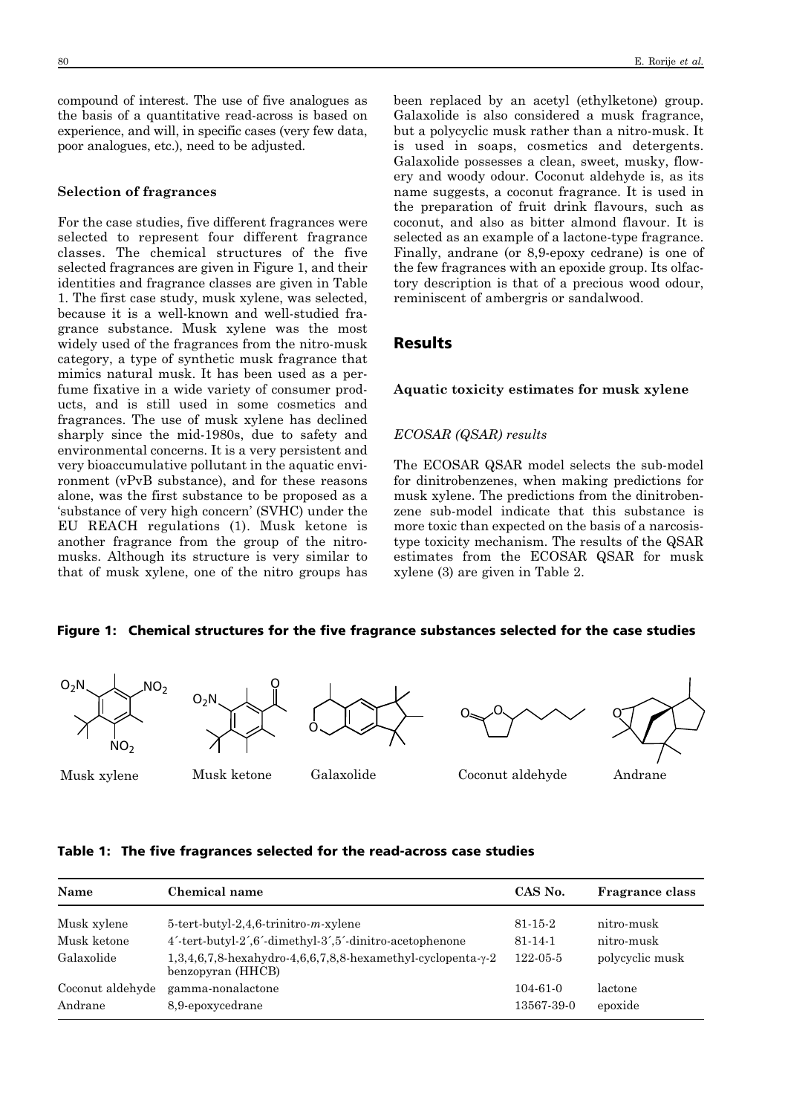compound of interest. The use of five analogues as the basis of a quantitative read-across is based on experience, and will, in specific cases (very few data, poor analogues, etc.), need to be adjusted.

#### **Selection of fragrances**

For the case studies, five different fragrances were selected to represent four different fragrance classes. The chemical structures of the five selected fragrances are given in Figure 1, and their identities and fragrance classes are given in Table 1. The first case study, musk xylene, was selected, because it is a well-known and well-studied fragrance substance. Musk xylene was the most widely used of the fragrances from the nitro-musk category, a type of synthetic musk fragrance that mimics natural musk. It has been used as a perfume fixative in a wide variety of consumer products, and is still used in some cosmetics and fragrances. The use of musk xylene has declined sharply since the mid-1980s, due to safety and environmental concerns. It is a very persistent and very bioaccumulative pollutant in the aquatic environment (vPvB substance), and for these reasons alone, was the first substance to be proposed as a 'substance of very high concern' (SVHC) under the EU REACH regulations (1). Musk ketone is another fragrance from the group of the nitromusks. Although its structure is very similar to that of musk xylene, one of the nitro groups has

been replaced by an acetyl (ethylketone) group. Galaxolide is also considered a musk fragrance, but a polycyclic musk rather than a nitro-musk. It is used in soaps, cosmetics and detergents. Galaxolide possesses a clean, sweet, musky, flowery and woody odour. Coconut aldehyde is, as its name suggests, a coconut fragrance. It is used in the preparation of fruit drink flavours, such as coconut, and also as bitter almond flavour. It is selected as an example of a lactone-type fragrance. Finally, andrane (or 8,9-epoxy cedrane) is one of the few fragrances with an epoxide group. Its olfactory description is that of a precious wood odour, reminiscent of ambergris or sandalwood.

# Results

### **Aquatic toxicity estimates for musk xylene**

#### *ECOSAR (QSAR) results*

The ECOSAR QSAR model selects the sub-model for dinitrobenzenes, when making predictions for musk xylene. The predictions from the dinitrobenzene sub-model indicate that this substance is more toxic than expected on the basis of a narcosistype toxicity mechanism. The results of the QSAR estimates from the ECOSAR QSAR for musk xylene (3) are given in Table 2.

### Figure 1: Chemical structures for the five fragrance substances selected for the case studies







 $\sim 0$ 



Musk xylene

Musk ketone

# Galaxolide

Coconut aldehyde Andrane

### Table 1: The five fragrances selected for the read-across case studies

| Name             | Chemical name                                                                    | CAS No.        | <b>Fragrance class</b> |
|------------------|----------------------------------------------------------------------------------|----------------|------------------------|
| Musk xylene      | $5$ -tert-butyl-2,4,6-trinitro- $m$ -xylene                                      | $81 - 15 - 2$  | nitro-musk             |
| Musk ketone      | 4'-tert-butyl-2',6'-dimethyl-3',5'-dinitro-acetophenone                          | $81 - 14 - 1$  | nitro-musk             |
| Galaxolide       | 1,3,4,6,7,8-hexahydro-4,6,6,7,8,8-hexamethyl-cyclopenta-γ-2<br>benzopyran (HHCB) | $122 - 05 - 5$ | polycyclic musk        |
| Coconut aldehyde | gamma-nonalactone                                                                | $104 - 61 - 0$ | lactone                |
| Andrane          | 8,9-epoxycedrane                                                                 | 13567-39-0     | epoxide                |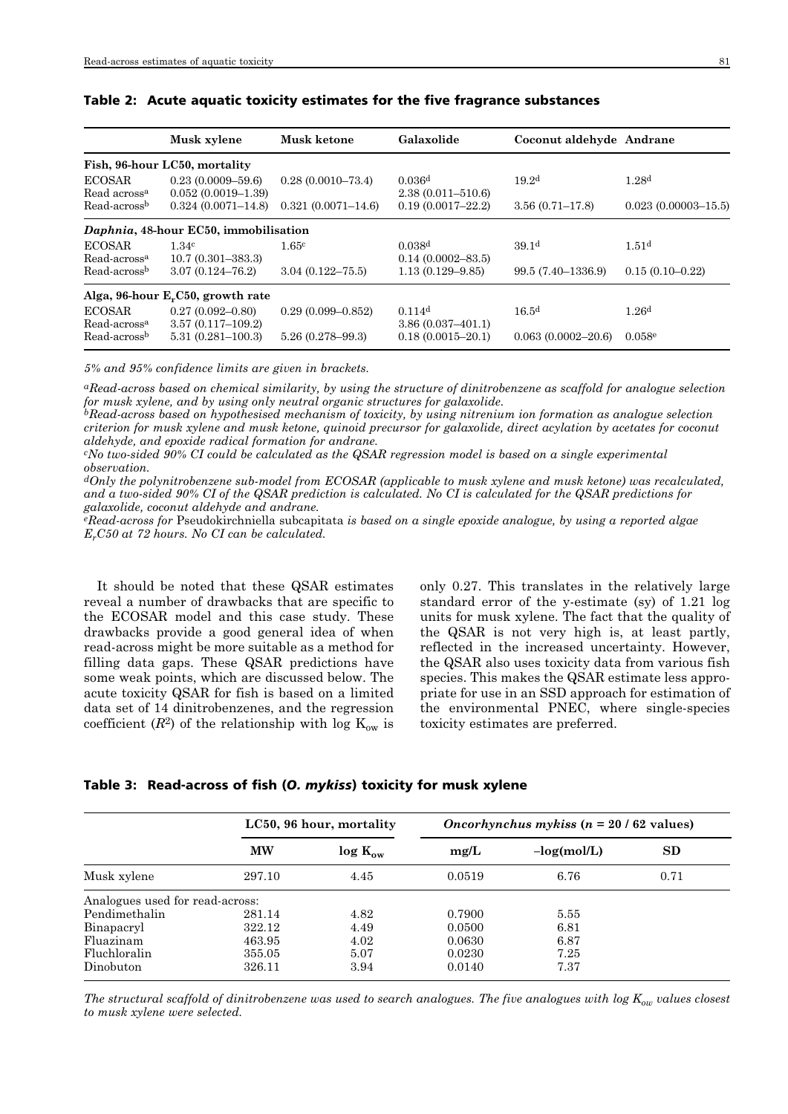|                                           | Musk xylene                                                   | Musk ketone            | Galaxolide                                  | Coconut aldehyde Andrane |                         |
|-------------------------------------------|---------------------------------------------------------------|------------------------|---------------------------------------------|--------------------------|-------------------------|
|                                           | Fish, 96-hour LC50, mortality                                 |                        |                                             |                          |                         |
| <b>ECOSAR</b><br>Read across <sup>a</sup> | $0.23(0.0009 - 59.6)$<br>$0.052(0.0019-1.39)$                 | $0.28(0.0010 - 73.4)$  | 0.036 <sup>d</sup><br>$2.38(0.011 - 510.6)$ | 19.2 <sup>d</sup>        | 1.28 <sup>d</sup>       |
| Read-across <sup>b</sup>                  | $0.324(0.0071 - 14.8)$                                        | $0.321(0.0071 - 14.6)$ | $0.19(0.0017 - 22.2)$                       | $3.56(0.71 - 17.8)$      | $0.023(0.00003 - 15.5)$ |
|                                           | Daphnia, 48-hour EC50, immobilisation                         |                        |                                             |                          |                         |
| <b>ECOSAR</b><br>Read-across <sup>a</sup> | 1.34 <sup>c</sup><br>$10.7(0.301 - 383.3)$                    | 1.65c                  | 0.038 <sup>d</sup><br>$0.14(0.0002 - 83.5)$ | 39.1 <sup>d</sup>        | 1.51 <sup>d</sup>       |
| Read-across <sup>b</sup>                  | $3.07(0.124 - 76.2)$                                          | $3.04(0.122 - 75.5)$   | $1.13(0.129 - 9.85)$                        | 99.5 (7.40–1336.9)       | $0.15(0.10-0.22)$       |
|                                           | Alga, $96$ -hour E <sub>r</sub> C <sub>50</sub> , growth rate |                        |                                             |                          |                         |
| <b>ECOSAR</b><br>Read-across <sup>a</sup> | $0.27(0.092 - 0.80)$<br>$3.57(0.117 - 109.2)$                 | $0.29(0.099 - 0.852)$  | 0.114 <sup>d</sup><br>$3.86(0.037-401.1)$   | 16.5 <sup>d</sup>        | 1.26 <sup>d</sup>       |
| Read-across <sup>b</sup>                  | $5.31(0.281 - 100.3)$                                         | $5.26(0.278 - 99.3)$   | $0.18(0.0015 - 20.1)$                       | $0.063(0.0002 - 20.6)$   | 0.058e                  |

### Table 2: Acute aquatic toxicity estimates for the five fragrance substances

*5% and 95% confidence limits are given in brackets.*

*aRead-across based on chemical similarity, by using the structure of dinitrobenzene as scaffold for analogue selection for musk xylene, and by using only neutral organic structures for galaxolide.*

*bRead-across based on hypothesised mechanism of toxicity, by using nitrenium ion formation as analogue selection criterion for musk xylene and musk ketone, quinoid precursor for galaxolide, direct acylation by acetates for coconut aldehyde, and epoxide radical formation for andrane.*

*cNo two-sided 90% CI could be calculated as the QSAR regression model is based on a single experimental observation.*

*dOnly the polynitrobenzene sub-model from ECOSAR (applicable to musk xylene and musk ketone) was recalculated, and a two-sided 90% CI of the QSAR prediction is calculated. No CI is calculated for the QSAR predictions for galaxolide, coconut aldehyde and andrane.*

*eRead-across for* Pseudokirchniella subcapitata *is based on a single epoxide analogue, by using a reported algae ErC50 at 72 hours. No CI can be calculated.*

It should be noted that these QSAR estimates reveal a number of drawbacks that are specific to the ECOSAR model and this case study. These drawbacks provide a good general idea of when read-across might be more suitable as a method for filling data gaps. These QSAR predictions have some weak points, which are discussed below. The acute toxicity QSAR for fish is based on a limited data set of 14 dinitrobenzenes, and the regression coefficient  $(R^2)$  of the relationship with log  $K_{ow}$  is only 0.27. This translates in the relatively large standard error of the y-estimate (sy) of 1.21 log units for musk xylene. The fact that the quality of the QSAR is not very high is, at least partly, reflected in the increased uncertainty. However, the QSAR also uses toxicity data from various fish species. This makes the QSAR estimate less appropriate for use in an SSD approach for estimation of the environmental PNEC, where single-species toxicity estimates are preferred.

Table 3: Read-across of fish (*O. mykiss*) toxicity for musk xylene

|                                 | LC50, 96 hour, mortality |              | <i>Oncorhynchus mykiss</i> $(n = 20 / 62$ values) |               |      |
|---------------------------------|--------------------------|--------------|---------------------------------------------------|---------------|------|
|                                 | <b>MW</b>                | $log K_{ow}$ | mg/L                                              | $-log(mol/L)$ | SD   |
| Musk xylene                     | 297.10                   | 4.45         | 0.0519                                            | 6.76          | 0.71 |
| Analogues used for read-across: |                          |              |                                                   |               |      |
| Pendimethalin                   | 281.14                   | 4.82         | 0.7900                                            | 5.55          |      |
| Binapacryl                      | 322.12                   | 4.49         | 0.0500                                            | 6.81          |      |
| Fluazinam                       | 463.95                   | 4.02         | 0.0630                                            | 6.87          |      |
| Fluchloralin                    | 355.05                   | 5.07         | 0.0230                                            | 7.25          |      |
| Dinobuton                       | 326.11                   | 3.94         | 0.0140                                            | 7.37          |      |

*The structural scaffold of dinitrobenzene was used to search analogues. The five analogues with log Kow values closest to musk xylene were selected.*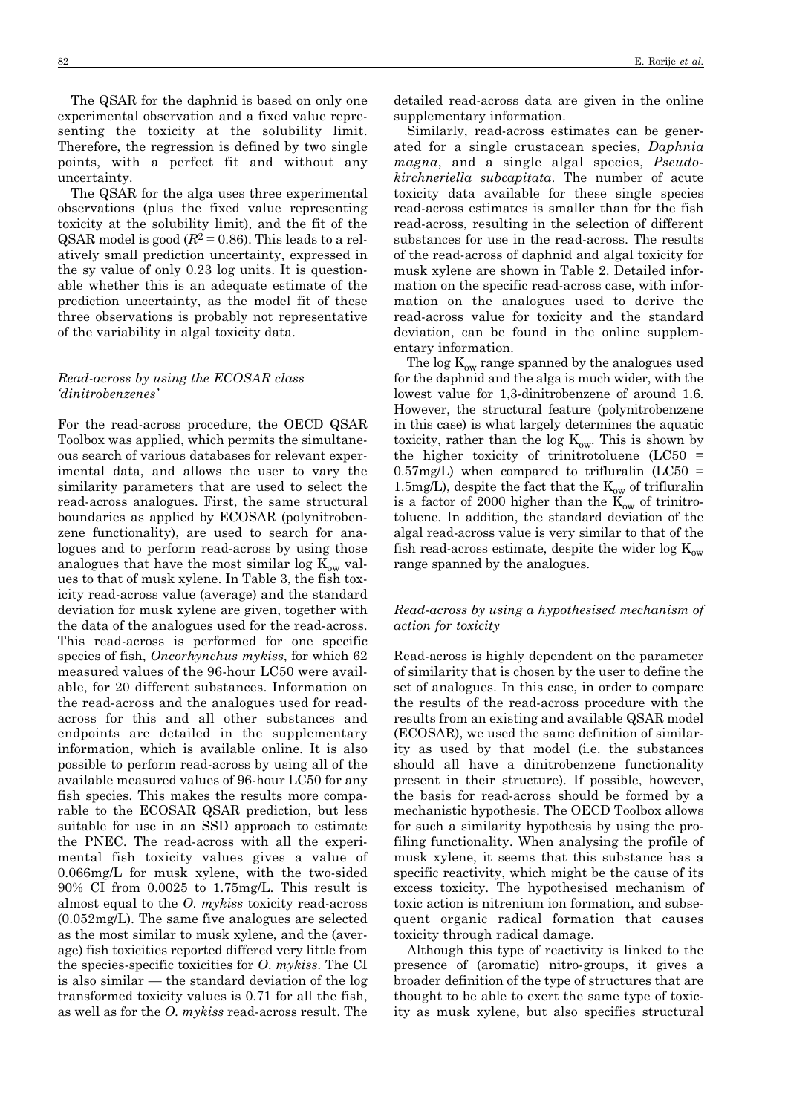The QSAR for the daphnid is based on only one experimental observation and a fixed value representing the toxicity at the solubility limit. Therefore, the regression is defined by two single points, with a perfect fit and without any uncertainty.

The QSAR for the alga uses three experimental observations (plus the fixed value representing toxicity at the solubility limit), and the fit of the QSAR model is good  $(R^2 = 0.86)$ . This leads to a relatively small prediction uncertainty, expressed in the sy value of only 0.23 log units. It is questionable whether this is an adequate estimate of the prediction uncertainty, as the model fit of these three observations is probably not representative of the variability in algal toxicity data.

### *Read-across by using the ECOSAR class 'dinitrobenzenes'*

For the read-across procedure, the OECD QSAR Toolbox was applied, which permits the simultaneous search of various databases for relevant experimental data, and allows the user to vary the similarity parameters that are used to select the read-across analogues. First, the same structural boundaries as applied by ECOSAR (polynitrobenzene functionality), are used to search for analogues and to perform read-across by using those analogues that have the most similar log  $K_{ow}$  values to that of musk xylene. In Table 3, the fish toxicity read-across value (average) and the standard deviation for musk xylene are given, together with the data of the analogues used for the read-across. This read-across is performed for one specific species of fish, *Oncorhynchus mykiss*, for which 62 measured values of the 96-hour LC50 were available, for 20 different substances. Information on the read-across and the analogues used for readacross for this and all other substances and endpoints are detailed in the supplementary information, which is available online. It is also possible to perform read-across by using all of the available measured values of 96-hour LC50 for any fish species. This makes the results more comparable to the ECOSAR QSAR prediction, but less suitable for use in an SSD approach to estimate the PNEC. The read-across with all the experimental fish toxicity values gives a value of 0.066mg/L for musk xylene, with the two-sided 90% CI from 0.0025 to 1.75mg/L. This result is almost equal to the *O*. *mykiss* toxicity read-across (0.052mg/L). The same five analogues are selected as the most similar to musk xylene, and the (average) fish toxicities reported differed very little from the species-specific toxicities for *O*. *mykiss*. The CI is also similar — the standard deviation of the log transformed toxicity values is 0.71 for all the fish, as well as for the *O*. *mykiss* read-across result. The

detailed read-across data are given in the online supplementary information.

Similarly, read-across estimates can be generated for a single crustacean species, *Daphnia magna*, and a single algal species, *Pseudo kirchneriella subcapitata*. The number of acute toxicity data available for these single species read-across estimates is smaller than for the fish read-across, resulting in the selection of different substances for use in the read-across. The results of the read-across of daphnid and algal toxicity for musk xylene are shown in Table 2. Detailed information on the specific read-across case, with information on the analogues used to derive the read-across value for toxicity and the standard deviation, can be found in the online supplementary information.

The  $\log K_{ow}$  range spanned by the analogues used for the daphnid and the alga is much wider, with the lowest value for 1,3-dinitrobenzene of around 1.6. However, the structural feature (polynitrobenzene in this case) is what largely determines the aquatic toxicity, rather than the log  $K_{ow}$ . This is shown by the higher toxicity of trinitrotoluene  $(LC50 =$  $0.57$ mg/L) when compared to trifluralin (LC50 = 1.5mg/L), despite the fact that the  $K_{ow}$  of trifluralin is a factor of 2000 higher than the  $\text{K}_{\text{ow}}$  of trinitrotoluene. In addition, the standard deviation of the algal read-across value is very similar to that of the fish read-across estimate, despite the wider  $\log K_{ow}$ range spanned by the analogues.

### *Read-across by using a hypothesised mechanism of action for toxicity*

Read-across is highly dependent on the parameter of similarity that is chosen by the user to define the set of analogues. In this case, in order to compare the results of the read-across procedure with the results from an existing and available QSAR model (ECOSAR), we used the same definition of similarity as used by that model (i.e. the substances should all have a dinitrobenzene functionality present in their structure). If possible, however, the basis for read-across should be formed by a mechanistic hypothesis. The OECD Toolbox allows for such a similarity hypothesis by using the profiling functionality. When analysing the profile of musk xylene, it seems that this substance has a specific reactivity, which might be the cause of its excess toxicity. The hypothesised mechanism of toxic action is nitrenium ion formation, and subsequent organic radical formation that causes toxicity through radical damage.

Although this type of reactivity is linked to the presence of (aromatic) nitro-groups, it gives a broader definition of the type of structures that are thought to be able to exert the same type of toxicity as musk xylene, but also specifies structural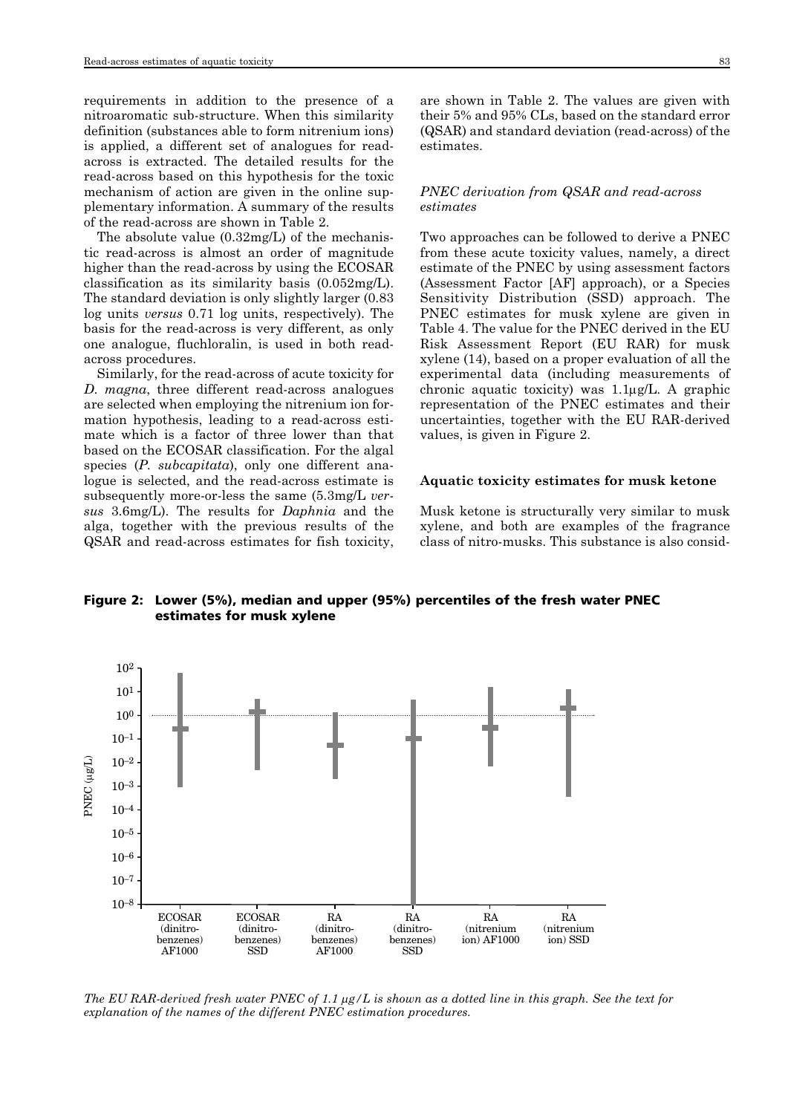requirements in addition to the presence of a nitroaromatic sub-structure. When this similarity definition (substances able to form nitrenium ions) is applied, a different set of analogues for readacross is extracted. The detailed results for the read-across based on this hypothesis for the toxic mechanism of action are given in the online supplementary information. A summary of the results of the read-across are shown in Table 2.

The absolute value (0.32mg/L) of the mechanistic read-across is almost an order of magnitude higher than the read-across by using the ECOSAR classification as its similarity basis (0.052mg/L). The standard deviation is only slightly larger (0.83 log units *versus* 0.71 log units, respectively). The basis for the read-across is very different, as only one analogue, fluchloralin, is used in both readacross procedures.

Similarly, for the read-across of acute toxicity for *D*. *magna*, three different read-across analogues are selected when employing the nitrenium ion formation hypothesis, leading to a read-across estimate which is a factor of three lower than that based on the ECOSAR classification. For the algal species (*P. subcapitata*), only one different analogue is selected, and the read-across estimate is subsequently more-or-less the same (5.3mg/L *versus* 3.6mg/L). The results for *Daphnia* and the alga, together with the previous results of the QSAR and read-across estimates for fish toxicity,

are shown in Table 2. The values are given with their 5% and 95% CLs, based on the standard error (QSAR) and standard deviation (read-across) of the estimates.

### *PNEC derivation from QSAR and read-across estimates*

Two approaches can be followed to derive a PNEC from these acute toxicity values, namely, a direct estimate of the PNEC by using assessment factors (Assessment Factor [AF] approach), or a Species Sensitivity Distribution (SSD) approach. The PNEC estimates for musk xylene are given in Table 4. The value for the PNEC derived in the EU Risk Assessment Report (EU RAR) for musk xylene (14), based on a proper evaluation of all the experimental data (including measurements of chronic aquatic toxicity) was 1.1μg/L. A graphic representation of the PNEC estimates and their uncertainties, together with the EU RAR-derived values, is given in Figure 2.

### **Aquatic toxicity estimates for musk ketone**

Musk ketone is structurally very similar to musk xylene, and both are examples of the fragrance class of nitro-musks. This substance is also consid-

Figure 2: Lower (5%), median and upper (95%) percentiles of the fresh water PNEC estimates for musk xylene



*The EU RAR-derived fresh water PNEC of 1.1* μ*g/L is shown as a dotted line in this graph. See the text for explanation of the names of the different PNEC estimation procedures.*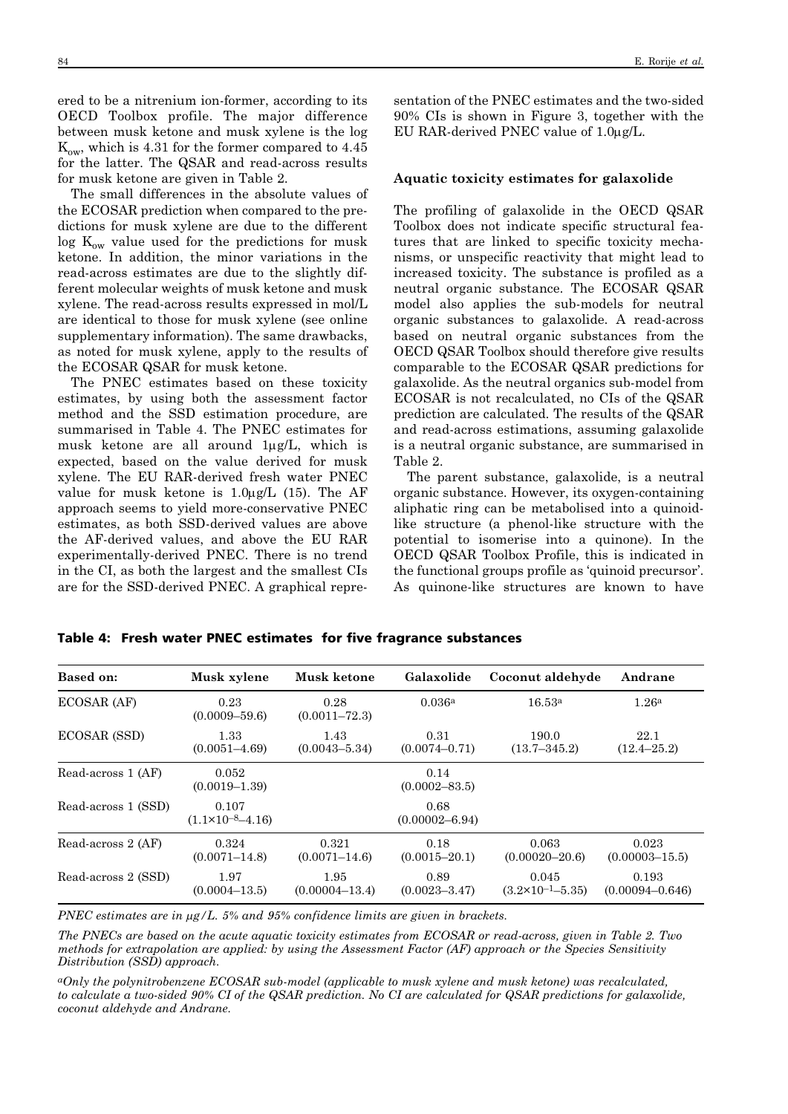ered to be a nitrenium ion-former, according to its OECD Toolbox profile. The major difference between musk ketone and musk xylene is the log  $K_{ow}$ , which is 4.31 for the former compared to 4.45 for the latter. The QSAR and read-across results for musk ketone are given in Table 2.

The small differences in the absolute values of the ECOSAR prediction when compared to the predictions for musk xylene are due to the different  $\log K_{ow}$  value used for the predictions for musk ketone. In addition, the minor variations in the read-across estimates are due to the slightly different molecular weights of musk ketone and musk xylene. The read-across results expressed in mol/L are identical to those for musk xylene (see online supplementary information). The same drawbacks, as noted for musk xylene, apply to the results of the ECOSAR QSAR for musk ketone.

The PNEC estimates based on these toxicity estimates, by using both the assessment factor method and the SSD estimation procedure, are summarised in Table 4. The PNEC estimates for musk ketone are all around 1μg/L, which is expected, based on the value derived for musk xylene. The EU RAR-derived fresh water PNEC value for musk ketone is  $1.0\mu$ g/L (15). The AF approach seems to yield more-conservative PNEC estimates, as both SSD-derived values are above the AF-derived values, and above the EU RAR experimentally-derived PNEC. There is no trend in the CI, as both the largest and the smallest CIs are for the SSD-derived PNEC. A graphical representation of the PNEC estimates and the two-sided 90% CIs is shown in Figure 3, together with the EU RAR-derived PNEC value of 1.0μg/L.

#### **Aquatic toxicity estimates for galaxolide**

The profiling of galaxolide in the OECD QSAR Toolbox does not indicate specific structural features that are linked to specific toxicity mechanisms, or unspecific reactivity that might lead to increased toxicity. The substance is profiled as a neutral organic substance. The ECOSAR QSAR model also applies the sub-models for neutral organic substances to galaxolide. A read-across based on neutral organic substances from the OECD QSAR Toolbox should therefore give results comparable to the ECOSAR QSAR predictions for galaxolide. As the neutral organics sub-model from ECOSAR is not recalculated, no CIs of the QSAR prediction are calculated. The results of the QSAR and read-across estimations, assuming galaxolide is a neutral organic substance, are summarised in Table 2.

The parent substance, galaxolide, is a neutral organic substance. However, its oxygen-containing aliphatic ring can be metabolised into a quinoidlike structure (a phenol-like structure with the potential to isomerise into a quinone). In the OECD QSAR Toolbox Profile, this is indicated in the functional groups profile as 'quinoid precursor'. As quinone-like structures are known to have

| <b>Based on:</b>    | Musk xylene                            | Musk ketone                | Galaxolide                 | Coconut aldehyde                       | Andrane                      |
|---------------------|----------------------------------------|----------------------------|----------------------------|----------------------------------------|------------------------------|
| ECOSAR (AF)         | 0.23<br>$(0.0009 - 59.6)$              | 0.28<br>$(0.0011 - 72.3)$  | 0.036a                     | 16.53 <sup>a</sup>                     | 1.26 <sup>a</sup>            |
| ECOSAR (SSD)        | 1.33<br>$(0.0051 - 4.69)$              | 1.43<br>$(0.0043 - 5.34)$  | 0.31<br>$(0.0074 - 0.71)$  | 190.0<br>$(13.7 - 345.2)$              | 22.1<br>$(12.4 - 25.2)$      |
| Read-across 1 (AF)  | 0.052<br>$(0.0019 - 1.39)$             |                            | 0.14<br>$(0.0002 - 83.5)$  |                                        |                              |
| Read-across 1 (SSD) | 0.107<br>$(1.1 \times 10^{-8} - 4.16)$ |                            | 0.68<br>$(0.00002 - 6.94)$ |                                        |                              |
| Read-across 2 (AF)  | 0.324<br>$(0.0071 - 14.8)$             | 0.321<br>$(0.0071 - 14.6)$ | 0.18<br>$(0.0015 - 20.1)$  | 0.063<br>$(0.00020 - 20.6)$            | 0.023<br>$(0.00003 - 15.5)$  |
| Read-across 2 (SSD) | 1.97<br>$(0.0004 - 13.5)$              | 1.95<br>$(0.00004 - 13.4)$ | 0.89<br>$(0.0023 - 3.47)$  | 0.045<br>$(3.2 \times 10^{-1} - 5.35)$ | 0.193<br>$(0.00094 - 0.646)$ |

Table 4: Fresh water PNEC estimates for five fragrance substances

*PNEC estimates are in* μ*g/L. 5% and 95% confidence limits are given in brackets.*

*The PNECs are based on the acute aquatic toxicity estimates from ECOSAR or read-across, given in Table 2. Two methods for extrapolation are applied: by using the Assessment Factor (AF) approach or the Species Sensitivity Distribution (SSD) approach.*

*aOnly the polynitrobenzene ECOSAR sub-model (applicable to musk xylene and musk ketone) was recalculated, to calculate a two-sided 90% CI of the QSAR prediction. No CI are calculated for QSAR predictions for galaxolide, coconut aldehyde and Andrane.*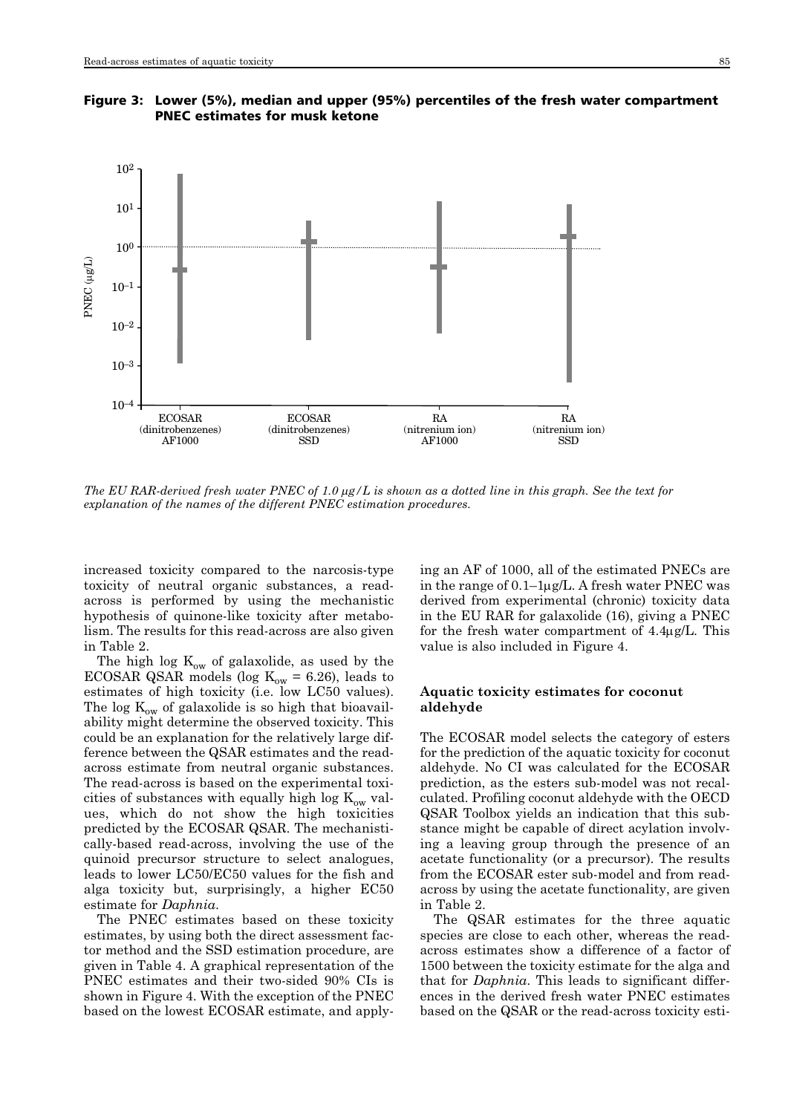

Figure 3: Lower (5%), median and upper (95%) percentiles of the fresh water compartment PNEC estimates for musk ketone

*The EU RAR-derived fresh water PNEC of 1.0* μ*g/L is shown as a dotted line in this graph. See the text for explanation of the names of the different PNEC estimation procedures.*

increased toxicity compared to the narcosis-type toxicity of neutral organic substances, a readacross is performed by using the mechanistic hypothesis of quinone-like toxicity after metabolism. The results for this read-across are also given in Table 2.

The high log  $K_{ow}$  of galaxolide, as used by the ECOSAR QSAR models (log  $K_{ow} = 6.26$ ), leads to estimates of high toxicity (i.e. low LC50 values). The log  $K_{ow}$  of galaxolide is so high that bioavailability might determine the observed toxicity. This could be an explanation for the relatively large difference between the QSAR estimates and the readacross estimate from neutral organic substances. The read-across is based on the experimental toxicities of substances with equally high log  $K_{ow}$  values, which do not show the high toxicities predicted by the ECOSAR QSAR. The mechanistically-based read-across, involving the use of the quinoid precursor structure to select analogues, leads to lower LC50/EC50 values for the fish and alga toxicity but, surprisingly, a higher EC50 estimate for *Daphnia*.

The PNEC estimates based on these toxicity estimates, by using both the direct assessment factor method and the SSD estimation procedure, are given in Table 4. A graphical representation of the PNEC estimates and their two-sided 90% CIs is shown in Figure 4. With the exception of the PNEC based on the lowest ECOSAR estimate, and applying an AF of 1000, all of the estimated PNECs are in the range of 0.1–1μg/L. A fresh water PNEC was derived from experimental (chronic) toxicity data in the EU RAR for galaxolide (16), giving a PNEC for the fresh water compartment of 4.4μg/L. This value is also included in Figure 4.

### **Aquatic toxicity estimates for coconut aldehyde**

The ECOSAR model selects the category of esters for the prediction of the aquatic toxicity for coconut aldehyde. No CI was calculated for the ECOSAR prediction, as the esters sub-model was not recalculated. Profiling coconut aldehyde with the OECD QSAR Toolbox yields an indication that this substance might be capable of direct acylation involving a leaving group through the presence of an acetate functionality (or a precursor). The results from the ECOSAR ester sub-model and from readacross by using the acetate functionality, are given in Table 2.

The QSAR estimates for the three aquatic species are close to each other, whereas the readacross estimates show a difference of a factor of 1500 between the toxicity estimate for the alga and that for *Daphnia*. This leads to significant differences in the derived fresh water PNEC estimates based on the QSAR or the read-across toxicity esti-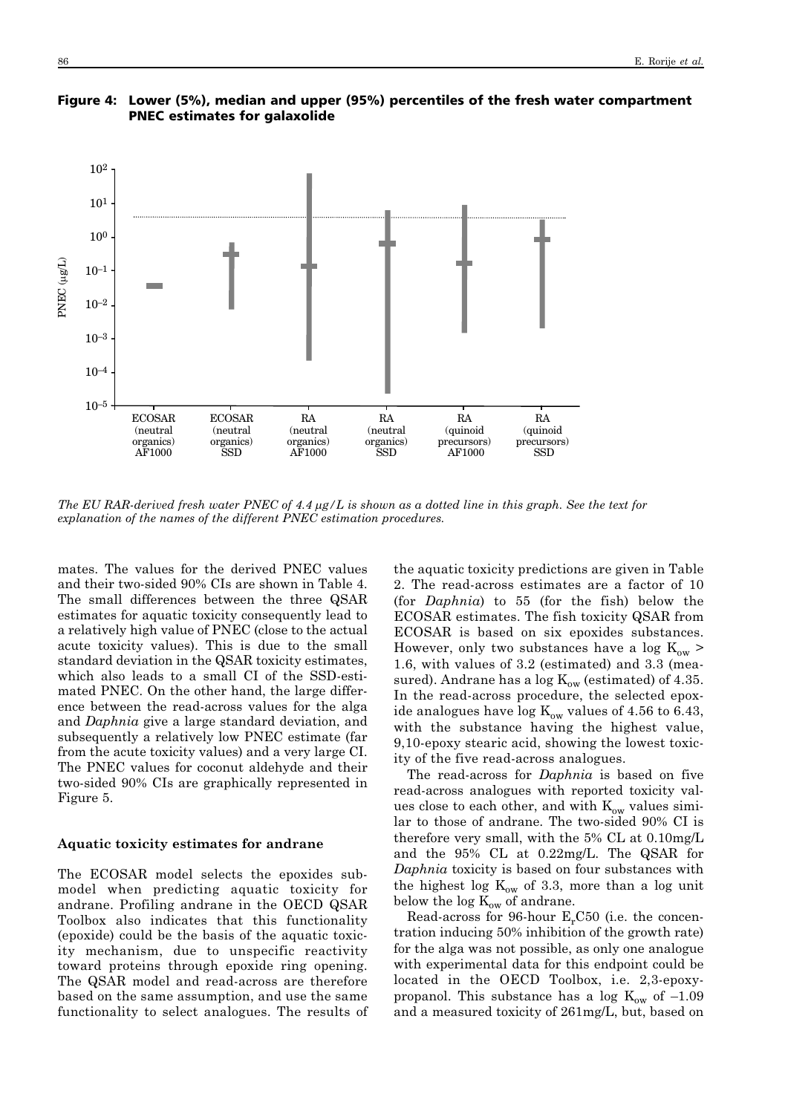

Figure 4: Lower (5%), median and upper (95%) percentiles of the fresh water compartment PNEC estimates for galaxolide

*The EU RAR-derived fresh water PNEC of 4.4* μ*g/L is shown as a dotted line in this graph. See the text for explanation of the names of the different PNEC estimation procedures.*

mates. The values for the derived PNEC values and their two-sided 90% CIs are shown in Table 4. The small differences between the three QSAR estimates for aquatic toxicity consequently lead to a relatively high value of PNEC (close to the actual acute toxicity values). This is due to the small standard deviation in the QSAR toxicity estimates, which also leads to a small CI of the SSD-estimated PNEC. On the other hand, the large difference between the read-across values for the alga and *Daphnia* give a large standard deviation, and subsequently a relatively low PNEC estimate (far from the acute toxicity values) and a very large CI. The PNEC values for coconut aldehyde and their two-sided 90% CIs are graphically represented in Figure 5.

### **Aquatic toxicity estimates for andrane**

The ECOSAR model selects the epoxides submodel when predicting aquatic toxicity for andrane. Profiling andrane in the OECD QSAR Toolbox also indicates that this functionality (epoxide) could be the basis of the aquatic toxicity mechanism, due to unspecific reactivity toward proteins through epoxide ring opening. The QSAR model and read-across are therefore based on the same assumption, and use the same functionality to select analogues. The results of the aquatic toxicity predictions are given in Table 2. The read-across estimates are a factor of 10 (for *Daphnia*) to 55 (for the fish) below the ECOSAR estimates. The fish toxicity QSAR from ECOSAR is based on six epoxides substances. However, only two substances have a log  $K_{\text{ow}}$ 1.6, with values of 3.2 (estimated) and 3.3 (measured). Andrane has a log  $K_{ow}$  (estimated) of 4.35. In the read-across procedure, the selected epoxide analogues have log  $K_{ow}$  values of 4.56 to 6.43, with the substance having the highest value, 9,10-epoxy stearic acid, showing the lowest toxicity of the five read-across analogues.

The read-across for *Daphnia* is based on five read-across analogues with reported toxicity values close to each other, and with  $K_{ow}$  values similar to those of andrane. The two-sided 90% CI is therefore very small, with the 5% CL at 0.10mg/L and the 95% CL at 0.22mg/L. The QSAR for *Daphnia* toxicity is based on four substances with the highest log  $K_{ow}$  of 3.3, more than a log unit below the log  $K_{ow}$  of andrane.

Read-across for 96-hour  $E<sub>r</sub> C50$  (i.e. the concentration inducing 50% inhibition of the growth rate) for the alga was not possible, as only one analogue with experimental data for this endpoint could be located in the OECD Toolbox, i.e. 2,3-epoxypropanol. This substance has a log  $K_{ow}$  of  $-1.09$ and a measured toxicity of 261mg/L, but, based on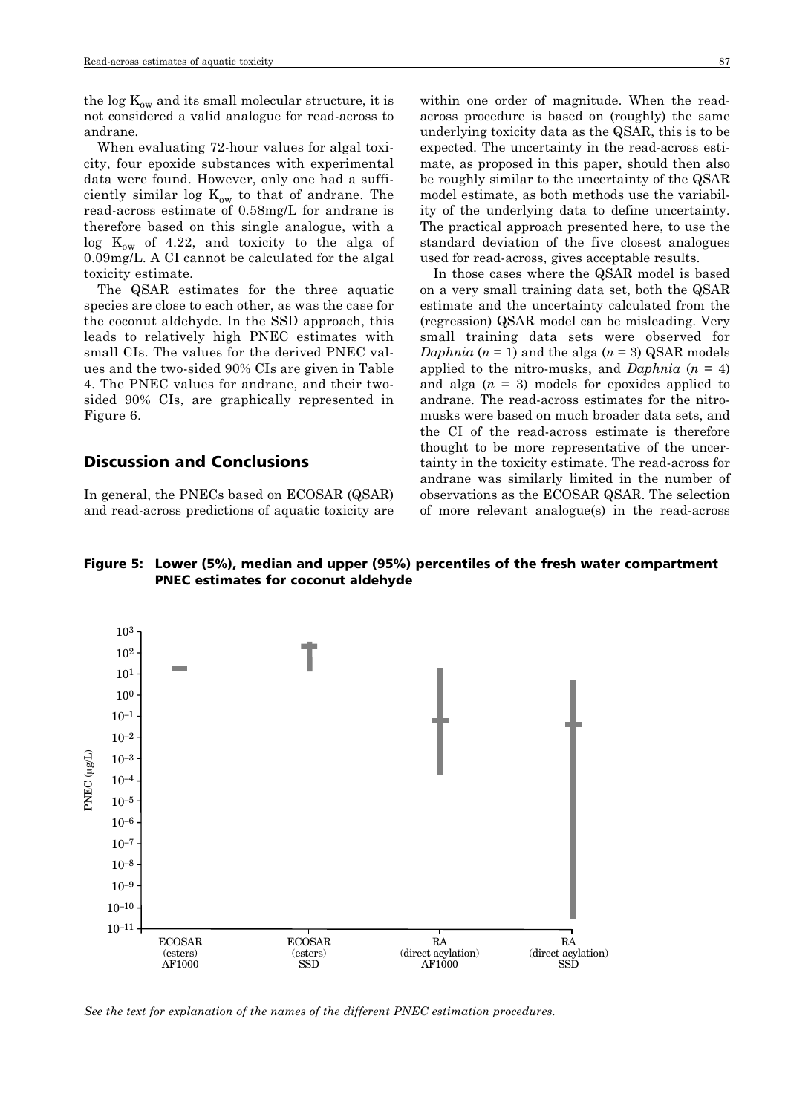the log  $K_{ow}$  and its small molecular structure, it is not considered a valid analogue for read-across to andrane.

When evaluating 72-hour values for algal toxicity, four epoxide substances with experimental data were found. However, only one had a sufficiently similar log  $K_{ow}$  to that of andrane. The read-across estimate of 0.58mg/L for andrane is therefore based on this single analogue, with a  $\log K_{ow}$  of 4.22, and toxicity to the alga of 0.09mg/L. A CI cannot be calculated for the algal toxicity estimate.

The QSAR estimates for the three aquatic species are close to each other, as was the case for the coconut aldehyde. In the SSD approach, this leads to relatively high PNEC estimates with small CIs. The values for the derived PNEC values and the two-sided 90% CIs are given in Table 4. The PNEC values for andrane, and their twosided 90% CIs, are graphically represented in Figure 6.

# Discussion and Conclusions

In general, the PNECs based on ECOSAR (QSAR) and read-across predictions of aquatic toxicity are within one order of magnitude. When the readacross procedure is based on (roughly) the same underlying toxicity data as the QSAR, this is to be expected. The uncertainty in the read-across estimate, as proposed in this paper, should then also be roughly similar to the uncertainty of the QSAR model estimate, as both methods use the variability of the underlying data to define uncertainty. The practical approach presented here, to use the standard deviation of the five closest analogues used for read-across, gives acceptable results.

In those cases where the QSAR model is based on a very small training data set, both the QSAR estimate and the uncertainty calculated from the (regression) QSAR model can be misleading. Very small training data sets were observed for *Daphnia*  $(n = 1)$  and the alga  $(n = 3)$  QSAR models applied to the nitro-musks, and *Daphnia* (*n* = 4) and alga  $(n = 3)$  models for epoxides applied to andrane. The read-across estimates for the nitromusks were based on much broader data sets, and the CI of the read-across estimate is therefore thought to be more representative of the uncertainty in the toxicity estimate. The read-across for andrane was similarly limited in the number of observations as the ECOSAR QSAR. The selection of more relevant analogue(s) in the read-across

Figure 5: Lower (5%), median and upper (95%) percentiles of the fresh water compartment PNEC estimates for coconut aldehyde



*See the text for explanation of the names of the different PNEC estimation procedures.*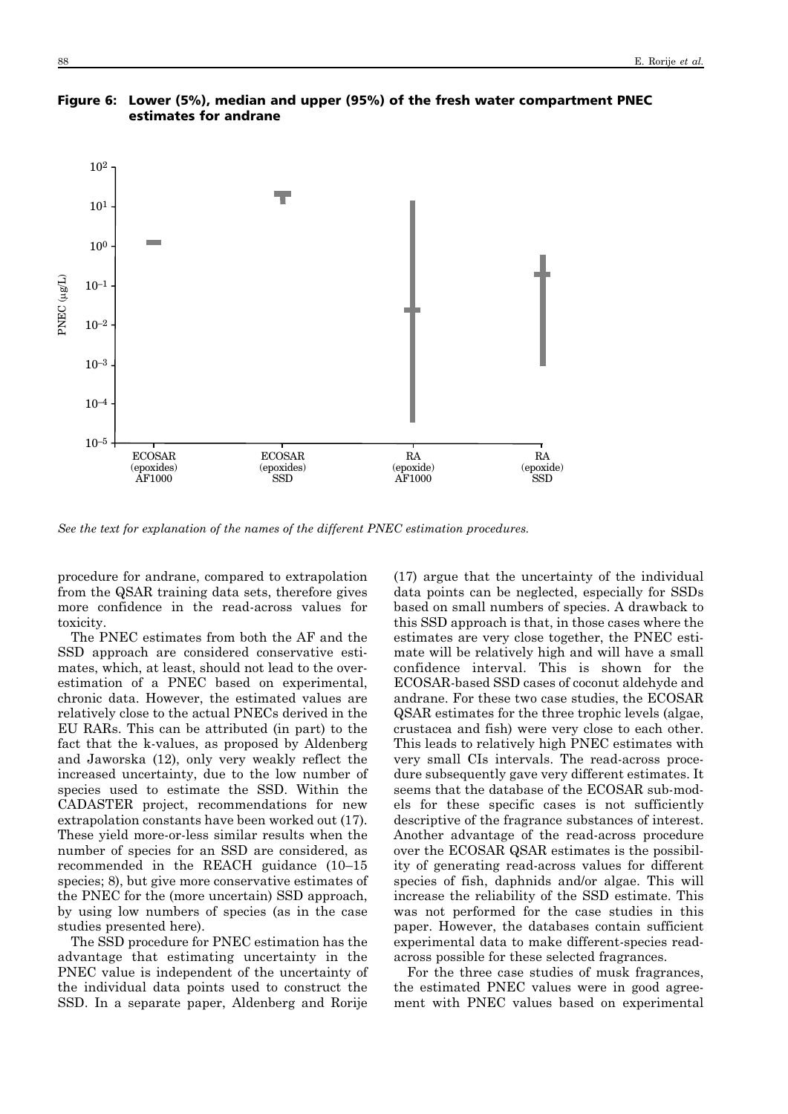



*See the text for explanation of the names of the different PNEC estimation procedures.*

procedure for andrane, compared to extrapolation from the QSAR training data sets, therefore gives more confidence in the read-across values for toxicity.

The PNEC estimates from both the AF and the SSD approach are considered conservative estimates, which, at least, should not lead to the overestimation of a PNEC based on experimental, chronic data. However, the estimated values are relatively close to the actual PNECs derived in the EU RARs. This can be attributed (in part) to the fact that the k-values, as proposed by Aldenberg and Jaworska (12), only very weakly reflect the increased uncertainty, due to the low number of species used to estimate the SSD. Within the CADASTER project, recommendations for new extrapolation constants have been worked out (17). These yield more-or-less similar results when the number of species for an SSD are considered, as recommended in the REACH guidance (10–15 species; 8), but give more conservative estimates of the PNEC for the (more uncertain) SSD approach, by using low numbers of species (as in the case studies presented here).

The SSD procedure for PNEC estimation has the advantage that estimating uncertainty in the PNEC value is independent of the uncertainty of the individual data points used to construct the SSD. In a separate paper, Aldenberg and Rorije

(17) argue that the uncertainty of the individual data points can be neglected, especially for SSDs based on small numbers of species. A drawback to this SSD approach is that, in those cases where the estimates are very close together, the PNEC estimate will be relatively high and will have a small confidence interval. This is shown for the ECOSAR-based SSD cases of coconut aldehyde and andrane. For these two case studies, the ECOSAR QSAR estimates for the three trophic levels (algae, crustacea and fish) were very close to each other. This leads to relatively high PNEC estimates with very small CIs intervals. The read-across procedure subsequently gave very different estimates. It seems that the database of the ECOSAR sub-models for these specific cases is not sufficiently descriptive of the fragrance substances of interest. Another advantage of the read-across procedure over the ECOSAR QSAR estimates is the possibility of generating read-across values for different species of fish, daphnids and/or algae. This will increase the reliability of the SSD estimate. This was not performed for the case studies in this paper. However, the databases contain sufficient experimental data to make different-species readacross possible for these selected fragrances.

For the three case studies of musk fragrances, the estimated PNEC values were in good agreement with PNEC values based on experimental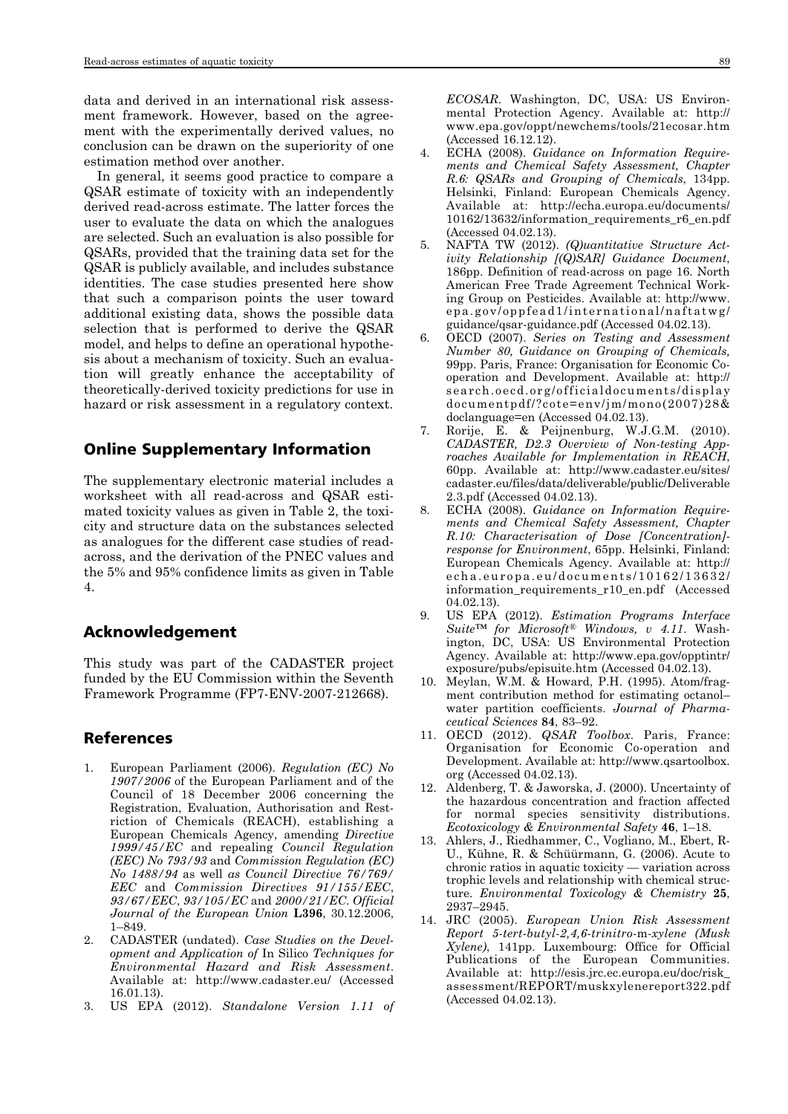data and derived in an international risk assessment framework. However, based on the agreement with the experimentally derived values, no conclusion can be drawn on the superiority of one estimation method over another.

In general, it seems good practice to compare a QSAR estimate of toxicity with an independently derived read-across estimate. The latter forces the user to evaluate the data on which the analogues are selected. Such an evaluation is also possible for QSARs, provided that the training data set for the QSAR is publicly available, and includes substance identities. The case studies presented here show that such a comparison points the user toward additional existing data, shows the possible data selection that is performed to derive the QSAR model, and helps to define an operational hypothesis about a mechanism of toxicity. Such an evaluation will greatly enhance the acceptability of theoretically-derived toxicity predictions for use in hazard or risk assessment in a regulatory context.

# Online Supplementary Information

The supplementary electronic material includes a worksheet with all read-across and QSAR estimated toxicity values as given in Table 2, the toxicity and structure data on the substances selected as analogues for the different case studies of readacross, and the derivation of the PNEC values and the 5% and 95% confidence limits as given in Table 4.

# Acknowledgement

This study was part of the CADASTER project funded by the EU Commission within the Seventh Framework Programme (FP7-ENV-2007-212668).

### References

- 1. European Parliament (2006). *Regulation (EC) No 1907/2006* of the European Parliament and of the Council of 18 December 2006 concerning the Registration, Evaluation, Authorisation and Restriction of Chemicals (REACH), establishing a European Chemicals Agency, amending *Directive 1999/45/EC* and repealing *Council Regulation (EEC) No 793/93* and *Commission Regulation (EC) No 1488/94* as well *as Council Directive 76/769/ EEC* and *Commission Directives 91/155/EEC*, *93/67/EEC*, *93/105/EC* and *2000/21/EC*. *Official Journal of the European Union* **L396**, 30.12.2006, 1–849.
- 2. CADASTER (undated). *Case Studies on the Devel opment and Application of* In Silico *Tech niques for*  $\bar{E}$ nvironmental Hazard and Risk Assessment. Available at: http://www.cadaster.eu/ (Accessed 16.01.13).
- 3. US EPA (2012). *Standalone Version 1.11 of*

*ECOSAR*. Washington, DC, USA: US Environmental Protection Agency. Available at: http:// www.epa.gov/oppt/newchems/tools/21ecosar.htm (Accessed 16.12.12).

- 4. ECHA (2008). *Guidance on Information Require ments and Chemical Safety Assessment, Chapter R.6: QSARs and Grouping of Chemicals*, 134pp. Helsinki, Finland: European Chemicals Agency. Available at: http://echa.europa.eu/documents/ 10162/13632/information\_requirements\_r6\_en.pdf (Accessed 04.02.13).
- 5. NAFTA TW (2012). *(Q)uantitative Structure Act ivity Relationship [(Q)SAR] Guidance Document*, 186pp. Definition of read-across on page 16. North American Free Trade Agreement Technical Work ing Group on Pesticides. Available at: http://www. epa.gov/oppfead1/international/naftatwg/ guidance/qsar-guidance.pdf (Accessed 04.02.13).
- 6. OECD (2007). *Series on Testing and Assessment Number 80, Guidance on Grouping of Chemicals,* 99pp. Paris, France: Organisation for Economic Cooperation and Development. Available at: http:// search.oecd.org/officialdocuments/display documentpdf/?cote=env/jm/mono(2007)28& doclanguage=en (Accessed 04.02.13).
- 7. Rorije, E. & Peijnenburg, W.J.G.M. (2010). *CADASTER, D2.3 Overview of Non-testing App roaches Available for Implementation in REACH*, 60pp. Available at: http://www.cadaster.eu/sites/ cadaster.eu/files/data/deliverable/public/Deliverable 2.3.pdf (Accessed 04.02.13).
- 8. ECHA (2008). *Guidance on Information Require ments and Chemical Safety Assessment, Chapter R.10: Characterisation of Dose [Concentration] response for Environment*, 65pp. Helsinki, Finland: European Chemicals Agency. Available at: http:// echa.europa.eu/documents/10162/13632/ information\_requirements\_r10\_en.pdf (Accessed 04.02.13).
- 9. US EPA (2012). *Estimation Programs Interface*  $$ ington, DC, USA: US Environmental Protection Agency. Available at: http://www.epa.gov/opptintr/ exposure/pubs/episuite.htm (Accessed 04.02.13).
- 10. Meylan, W.M. & Howard, P.H. (1995). Atom/fragment contribution method for estimating octanol– water partition coefficients. *Journal of Pharma ceutical Sciences* **84**, 83–92.
- 11. OECD (2012). *QSAR Toolbox*. Paris, France: Organisation for Economic Co-operation and Development. Available at: http://www.qsartoolbox. org (Accessed 04.02.13).
- 12. Aldenberg, T. & Jaworska, J. (2000). Uncertainty of the hazardous concentration and fraction affected for normal species sensitivity distributions. *Ecotoxicology & Environmental Safety* **46**, 1–18.
- 13. Ahlers, J., Riedhammer, C., Vogliano, M., Ebert, R-U., Kühne, R. & Schüürmann, G. (2006). Acute to chronic ratios in aquatic toxicity — variation across trophic levels and relationship with chemical structure. *Environmental Toxicology & Chemistry* **25**, 2937–2945.
- 14. JRC (2005). *European Union Risk Assessment Report 5-tert-butyl-2,4,6-trinitro-*m*-xylene (Musk Xylene)*, 141pp. Luxembourg: Office for Official Publications of the European Communities. Available at: http://esis.jrc.ec.europa.eu/doc/risk\_ assessment/REPORT/muskxylenereport322.pdf (Accessed 04.02.13).